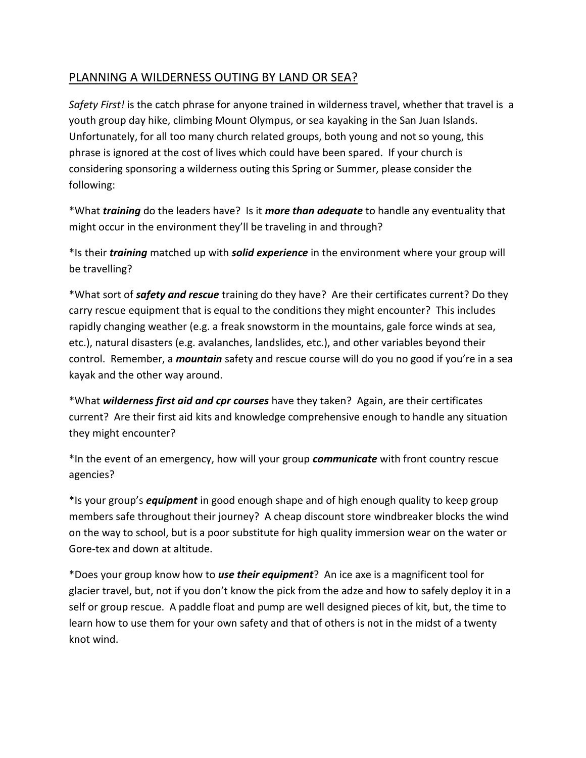## PLANNING A WILDERNESS OUTING BY LAND OR SEA?

*Safety First!* is the catch phrase for anyone trained in wilderness travel, whether that travel is a youth group day hike, climbing Mount Olympus, or sea kayaking in the San Juan Islands. Unfortunately, for all too many church related groups, both young and not so young, this phrase is ignored at the cost of lives which could have been spared. If your church is considering sponsoring a wilderness outing this Spring or Summer, please consider the following:

\*What *training* do the leaders have? Is it *more than adequate* to handle any eventuality that might occur in the environment they'll be traveling in and through?

\*Is their *training* matched up with *solid experience* in the environment where your group will be travelling?

\*What sort of *safety and rescue* training do they have? Are their certificates current? Do they carry rescue equipment that is equal to the conditions they might encounter? This includes rapidly changing weather (e.g. a freak snowstorm in the mountains, gale force winds at sea, etc.), natural disasters (e.g. avalanches, landslides, etc.), and other variables beyond their control. Remember, a *mountain* safety and rescue course will do you no good if you're in a sea kayak and the other way around.

\*What *wilderness first aid and cpr courses* have they taken? Again, are their certificates current? Are their first aid kits and knowledge comprehensive enough to handle any situation they might encounter?

\*In the event of an emergency, how will your group *communicate* with front country rescue agencies?

\*Is your group's *equipment* in good enough shape and of high enough quality to keep group members safe throughout their journey? A cheap discount store windbreaker blocks the wind on the way to school, but is a poor substitute for high quality immersion wear on the water or Gore-tex and down at altitude.

\*Does your group know how to *use their equipment*? An ice axe is a magnificent tool for glacier travel, but, not if you don't know the pick from the adze and how to safely deploy it in a self or group rescue. A paddle float and pump are well designed pieces of kit, but, the time to learn how to use them for your own safety and that of others is not in the midst of a twenty knot wind.